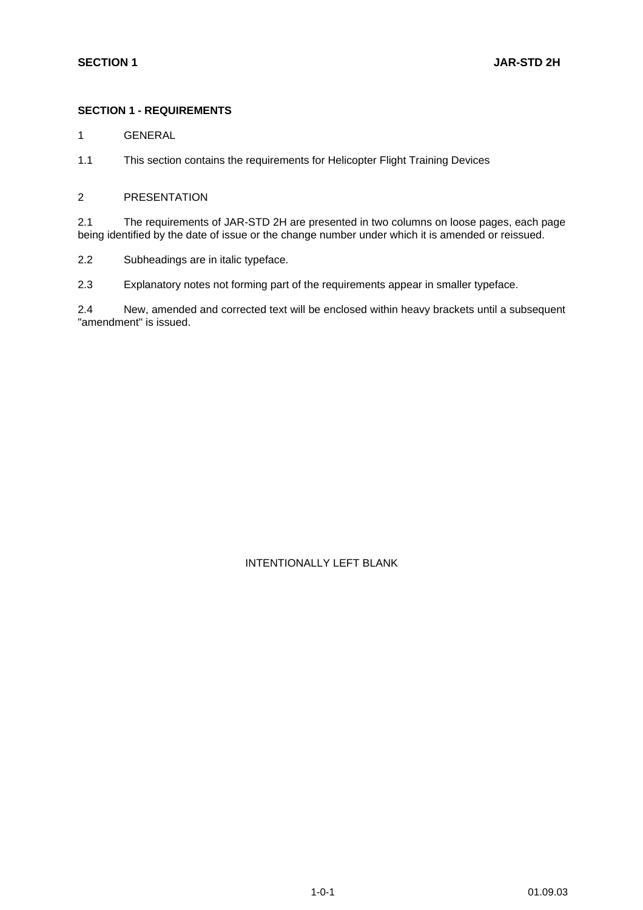## **SECTION 1 - REQUIREMENTS**

- 1 GENERAL
- 1.1 This section contains the requirements for Helicopter Flight Training Devices

## 2 PRESENTATION

2.1 The requirements of JAR-STD 2H are presented in two columns on loose pages, each page being identified by the date of issue or the change number under which it is amended or reissued.

2.2 Subheadings are in italic typeface.

2.3 Explanatory notes not forming part of the requirements appear in smaller typeface.

2.4 New, amended and corrected text will be enclosed within heavy brackets until a subsequent "amendment" is issued.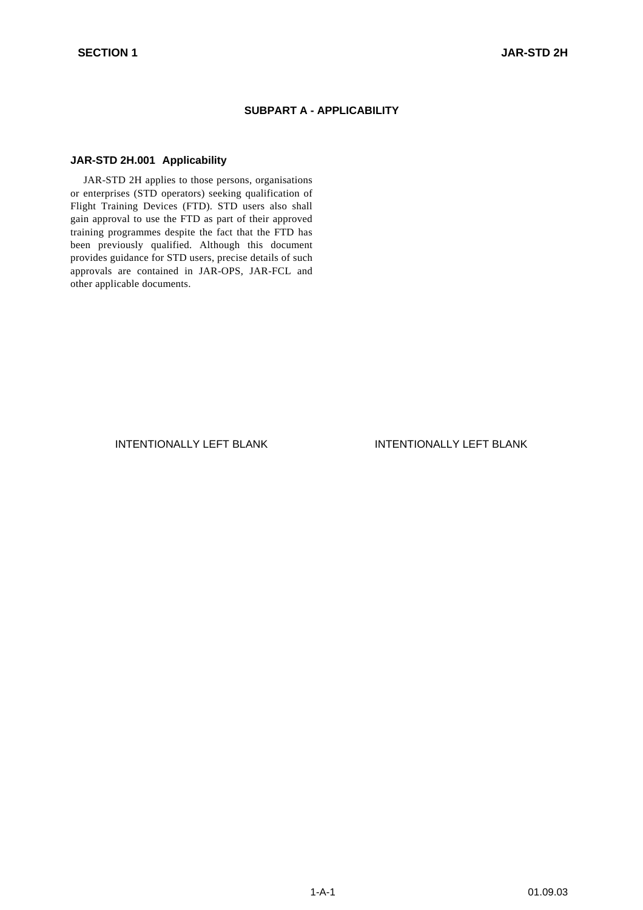#### **SUBPART A - APPLICABILITY**

#### **JAR-STD 2H.001 Applicability**

JAR-STD 2H applies to those persons, organisations or enterprises (STD operators) seeking qualification of Flight Training Devices (FTD). STD users also shall gain approval to use the FTD as part of their approved training programmes despite the fact that the FTD has been previously qualified. Although this document provides guidance for STD users, precise details of such approvals are contained in JAR-OPS, JAR-FCL and other applicable documents.

INTENTIONALLY LEFT BLANK INTENTIONALLY LEFT BLANK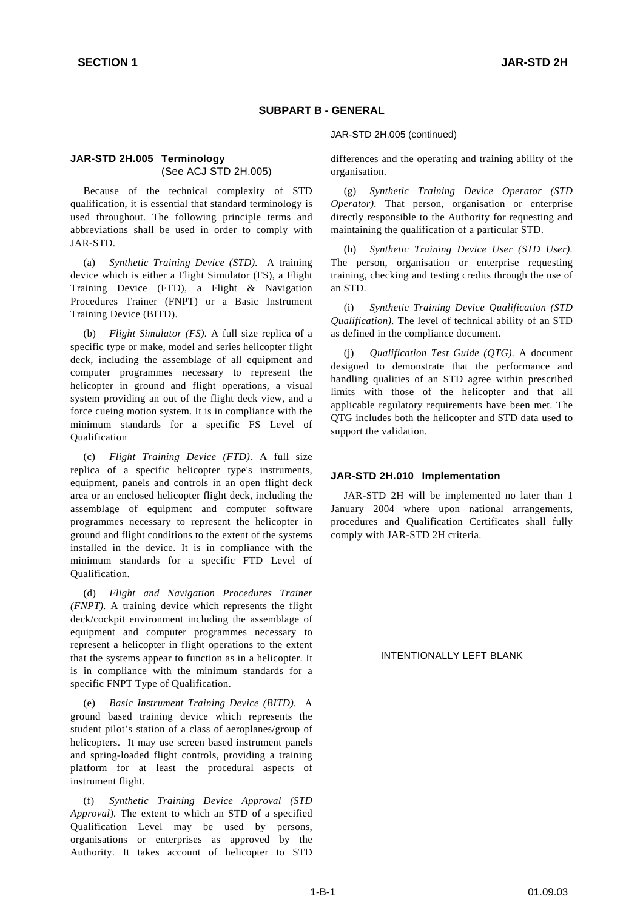#### **SUBPART B - GENERAL**

## **JAR-STD 2H.005 Terminology**  (See ACJ STD 2H.005)

Because of the technical complexity of STD qualification, it is essential that standard terminology is used throughout. The following principle terms and abbreviations shall be used in order to comply with JAR-STD.

(a) *Synthetic Training Device (STD).* A training device which is either a Flight Simulator (FS), a Flight Training Device (FTD), a Flight & Navigation Procedures Trainer (FNPT) or a Basic Instrument Training Device (BITD).

(b) *Flight Simulator (FS).* A full size replica of a specific type or make, model and series helicopter flight deck, including the assemblage of all equipment and computer programmes necessary to represent the helicopter in ground and flight operations, a visual system providing an out of the flight deck view, and a force cueing motion system. It is in compliance with the minimum standards for a specific FS Level of Qualification

(c) *Flight Training Device (FTD).* A full size replica of a specific helicopter type's instruments, equipment, panels and controls in an open flight deck area or an enclosed helicopter flight deck, including the assemblage of equipment and computer software programmes necessary to represent the helicopter in ground and flight conditions to the extent of the systems installed in the device. It is in compliance with the minimum standards for a specific FTD Level of Qualification.

(d) *Flight and Navigation Procedures Trainer (FNPT).* A training device which represents the flight deck/cockpit environment including the assemblage of equipment and computer programmes necessary to represent a helicopter in flight operations to the extent that the systems appear to function as in a helicopter. It is in compliance with the minimum standards for a specific FNPT Type of Qualification.

Basic Instrument Training Device (BITD). A ground based training device which represents the student pilot's station of a class of aeroplanes/group of helicopters. It may use screen based instrument panels and spring-loaded flight controls, providing a training platform for at least the procedural aspects of instrument flight.

(f) *Synthetic Training Device Approval (STD Approval).* The extent to which an STD of a specified Qualification Level may be used by persons, organisations or enterprises as approved by the Authority. It takes account of helicopter to STD

#### JAR-STD 2H.005 (continued)

differences and the operating and training ability of the organisation.

(g) *Synthetic Training Device Operator (STD Operator).* That person, organisation or enterprise directly responsible to the Authority for requesting and maintaining the qualification of a particular STD.

(h) *Synthetic Training Device User (STD User).* The person, organisation or enterprise requesting training, checking and testing credits through the use of an STD.

(i) *Synthetic Training Device Qualification (STD Qualification).* The level of technical ability of an STD as defined in the compliance document.

(j) *Qualification Test Guide (QTG).* A document designed to demonstrate that the performance and handling qualities of an STD agree within prescribed limits with those of the helicopter and that all applicable regulatory requirements have been met. The QTG includes both the helicopter and STD data used to support the validation.

#### **JAR-STD 2H.010 Implementation**

JAR-STD 2H will be implemented no later than 1 January 2004 where upon national arrangements, procedures and Qualification Certificates shall fully comply with JAR-STD 2H criteria.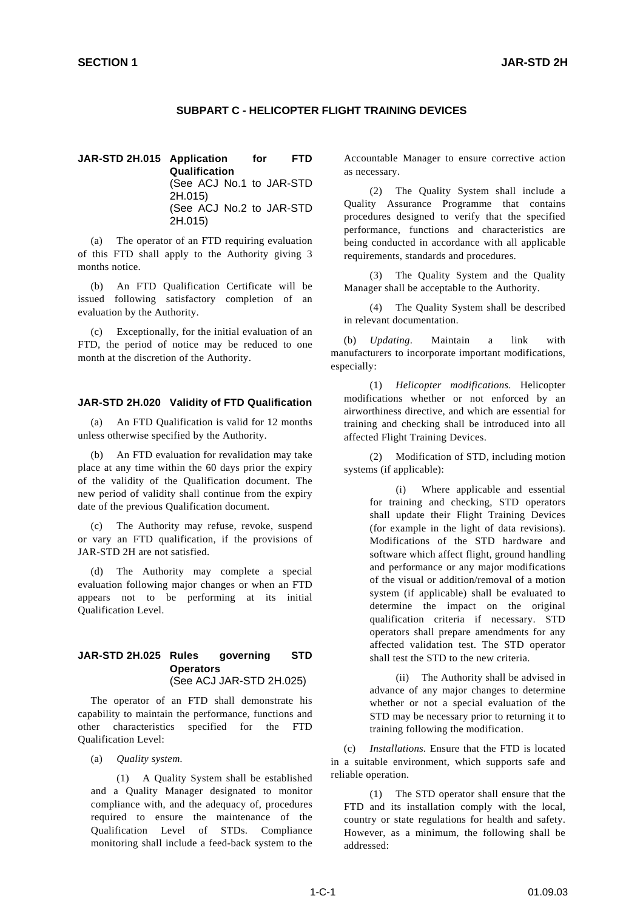### **SUBPART C - HELICOPTER FLIGHT TRAINING DEVICES**

#### **JAR-STD 2H.015 Application for FTD Qualification**  (See ACJ No.1 to JAR-STD 2H.015) (See ACJ No.2 to JAR-STD 2H.015)

(a) The operator of an FTD requiring evaluation of this FTD shall apply to the Authority giving 3 months notice.

(b) An FTD Qualification Certificate will be issued following satisfactory completion of an evaluation by the Authority.

(c) Exceptionally, for the initial evaluation of an FTD, the period of notice may be reduced to one month at the discretion of the Authority.

#### **JAR-STD 2H.020 Validity of FTD Qualification**

(a) An FTD Qualification is valid for 12 months unless otherwise specified by the Authority.

(b) An FTD evaluation for revalidation may take place at any time within the 60 days prior the expiry of the validity of the Qualification document. The new period of validity shall continue from the expiry date of the previous Qualification document.

(c) The Authority may refuse, revoke, suspend or vary an FTD qualification, if the provisions of JAR-STD 2H are not satisfied.

(d) The Authority may complete a special evaluation following major changes or when an FTD appears not to be performing at its initial Qualification Level.

#### **JAR-STD 2H.025 Rules governing STD Operators**  (See ACJ JAR-STD 2H.025)

The operator of an FTD shall demonstrate his capability to maintain the performance, functions and other characteristics specified for the FTD Qualification Level:

(a) *Quality system.*

(1) A Quality System shall be established and a Quality Manager designated to monitor compliance with, and the adequacy of, procedures required to ensure the maintenance of the Qualification Level of STDs. Compliance monitoring shall include a feed-back system to the Accountable Manager to ensure corrective action as necessary.

(2) The Quality System shall include a Quality Assurance Programme that contains procedures designed to verify that the specified performance, functions and characteristics are being conducted in accordance with all applicable requirements, standards and procedures.

(3) The Quality System and the Quality Manager shall be acceptable to the Authority.

(4) The Quality System shall be described in relevant documentation.

(b) *Updating*. Maintain a link with manufacturers to incorporate important modifications, especially:

(1) *Helicopter modifications.* Helicopter modifications whether or not enforced by an airworthiness directive, and which are essential for training and checking shall be introduced into all affected Flight Training Devices.

(2) Modification of STD, including motion systems (if applicable):

> (i) Where applicable and essential for training and checking, STD operators shall update their Flight Training Devices (for example in the light of data revisions). Modifications of the STD hardware and software which affect flight, ground handling and performance or any major modifications of the visual or addition/removal of a motion system (if applicable) shall be evaluated to determine the impact on the original qualification criteria if necessary. STD operators shall prepare amendments for any affected validation test. The STD operator shall test the STD to the new criteria.

> (ii) The Authority shall be advised in advance of any major changes to determine whether or not a special evaluation of the STD may be necessary prior to returning it to training following the modification.

(c) *Installations.* Ensure that the FTD is located in a suitable environment, which supports safe and reliable operation.

(1) The STD operator shall ensure that the FTD and its installation comply with the local, country or state regulations for health and safety. However, as a minimum, the following shall be addressed: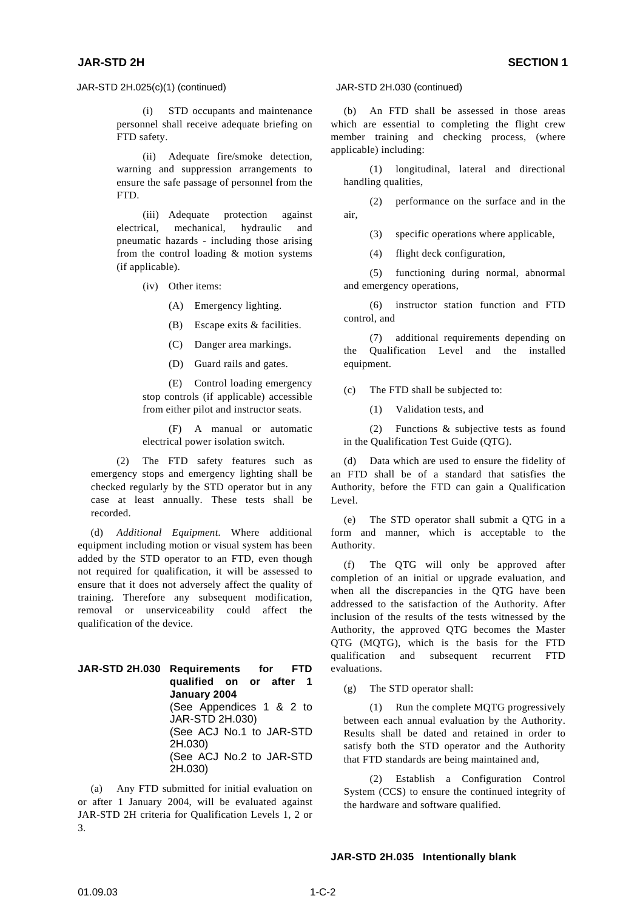#### JAR-STD 2H.025(c)(1) (continued) JAR-STD 2H.030 (continued)

(i) STD occupants and maintenance personnel shall receive adequate briefing on FTD safety.

(ii) Adequate fire/smoke detection, warning and suppression arrangements to ensure the safe passage of personnel from the FTD.

(iii) Adequate protection against electrical, mechanical, hydraulic and pneumatic hazards - including those arising from the control loading & motion systems (if applicable).

(iv) Other items:

(A) Emergency lighting.

(B) Escape exits & facilities.

(C) Danger area markings.

(D) Guard rails and gates.

(E) Control loading emergency stop controls (if applicable) accessible from either pilot and instructor seats.

(F) A manual or automatic electrical power isolation switch.

(2) The FTD safety features such as emergency stops and emergency lighting shall be checked regularly by the STD operator but in any case at least annually. These tests shall be recorded.

(d) *Additional Equipment.* Where additional equipment including motion or visual system has been added by the STD operator to an FTD, even though not required for qualification, it will be assessed to ensure that it does not adversely affect the quality of training. Therefore any subsequent modification, removal or unserviceability could affect the qualification of the device.

**JAR-STD 2H.030 Requirements for FTD qualified on or after 1 January 2004**  (See Appendices 1 & 2 to JAR-STD 2H.030) (See ACJ No.1 to JAR-STD 2H.030) (See ACJ No.2 to JAR-STD 2H.030)

(a) Any FTD submitted for initial evaluation on or after 1 January 2004, will be evaluated against JAR-STD 2H criteria for Qualification Levels 1, 2 or 3.

(b) An FTD shall be assessed in those areas which are essential to completing the flight crew member training and checking process, (where applicable) including:

(1) longitudinal, lateral and directional handling qualities,

(2) performance on the surface and in the air,

(3) specific operations where applicable,

(4) flight deck configuration,

(5) functioning during normal, abnormal and emergency operations,

(6) instructor station function and FTD control, and

(7) additional requirements depending on the Qualification Level and the installed equipment.

(c) The FTD shall be subjected to:

(1) Validation tests, and

(2) Functions & subjective tests as found in the Qualification Test Guide (QTG).

(d) Data which are used to ensure the fidelity of an FTD shall be of a standard that satisfies the Authority, before the FTD can gain a Qualification Level.

(e) The STD operator shall submit a QTG in a form and manner, which is acceptable to the Authority.

(f) The QTG will only be approved after completion of an initial or upgrade evaluation, and when all the discrepancies in the QTG have been addressed to the satisfaction of the Authority. After inclusion of the results of the tests witnessed by the Authority, the approved QTG becomes the Master QTG (MQTG), which is the basis for the FTD qualification and subsequent recurrent FTD evaluations.

(g) The STD operator shall:

(1) Run the complete MQTG progressively between each annual evaluation by the Authority. Results shall be dated and retained in order to satisfy both the STD operator and the Authority that FTD standards are being maintained and,

(2) Establish a Configuration Control System (CCS) to ensure the continued integrity of the hardware and software qualified.

**JAR-STD 2H.035 Intentionally blank**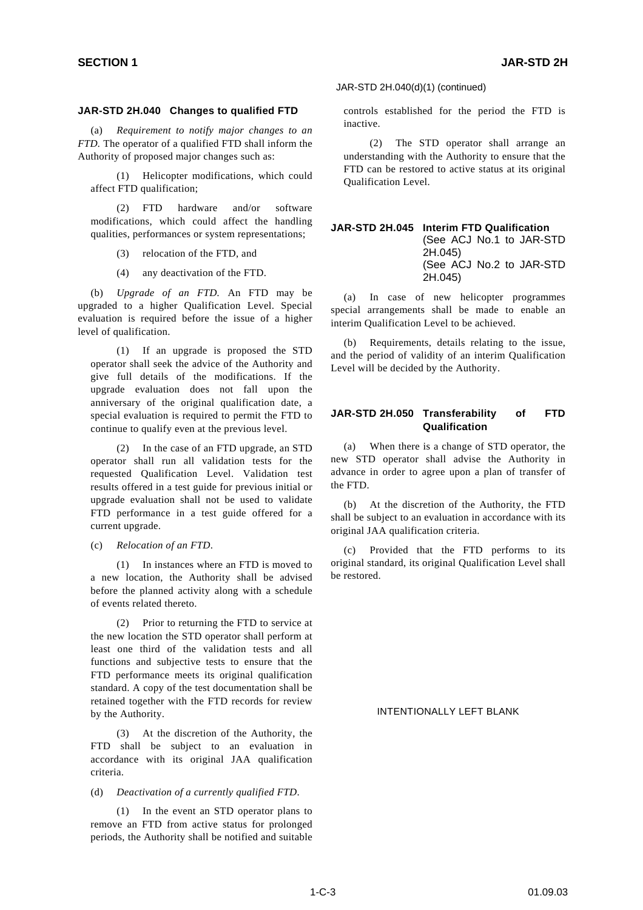#### **JAR-STD 2H.040 Changes to qualified FTD**

(a) *Requirement to notify major changes to an FTD.* The operator of a qualified FTD shall inform the Authority of proposed major changes such as:

(1) Helicopter modifications, which could affect FTD qualification;

(2) FTD hardware and/or software modifications, which could affect the handling qualities, performances or system representations;

(3) relocation of the FTD, and

(4) any deactivation of the FTD.

(b) *Upgrade of an FTD.* An FTD may be upgraded to a higher Qualification Level. Special evaluation is required before the issue of a higher level of qualification.

(1) If an upgrade is proposed the STD operator shall seek the advice of the Authority and give full details of the modifications. If the upgrade evaluation does not fall upon the anniversary of the original qualification date, a special evaluation is required to permit the FTD to continue to qualify even at the previous level.

(2) In the case of an FTD upgrade, an STD operator shall run all validation tests for the requested Qualification Level. Validation test results offered in a test guide for previous initial or upgrade evaluation shall not be used to validate FTD performance in a test guide offered for a current upgrade.

#### (c) *Relocation of an FTD*.

(1) In instances where an FTD is moved to a new location, the Authority shall be advised before the planned activity along with a schedule of events related thereto.

(2) Prior to returning the FTD to service at the new location the STD operator shall perform at least one third of the validation tests and all functions and subjective tests to ensure that the FTD performance meets its original qualification standard. A copy of the test documentation shall be retained together with the FTD records for review by the Authority.

(3) At the discretion of the Authority, the FTD shall be subject to an evaluation in accordance with its original JAA qualification criteria.

(d) *Deactivation of a currently qualified FTD*.

(1) In the event an STD operator plans to remove an FTD from active status for prolonged periods, the Authority shall be notified and suitable JAR-STD 2H.040(d)(1) (continued)

controls established for the period the FTD is inactive.

(2) The STD operator shall arrange an understanding with the Authority to ensure that the FTD can be restored to active status at its original Qualification Level.

#### **JAR-STD 2H.045 Interim FTD Qualification**  (See ACJ No.1 to JAR-STD 2H.045) (See ACJ No.2 to JAR-STD 2H.045)

(a) In case of new helicopter programmes special arrangements shall be made to enable an interim Qualification Level to be achieved.

(b) Requirements, details relating to the issue, and the period of validity of an interim Qualification Level will be decided by the Authority.

#### **JAR-STD 2H.050 Transferability of FTD Qualification**

(a) When there is a change of STD operator, the new STD operator shall advise the Authority in advance in order to agree upon a plan of transfer of the FTD.

(b) At the discretion of the Authority, the FTD shall be subject to an evaluation in accordance with its original JAA qualification criteria.

(c) Provided that the FTD performs to its original standard, its original Qualification Level shall be restored.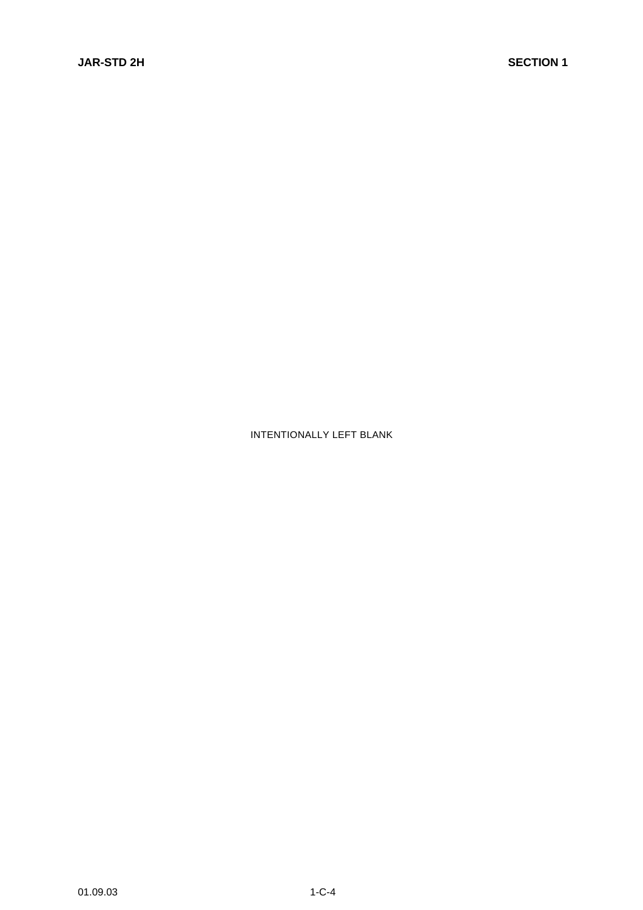**JAR-STD 2H SECTION 1**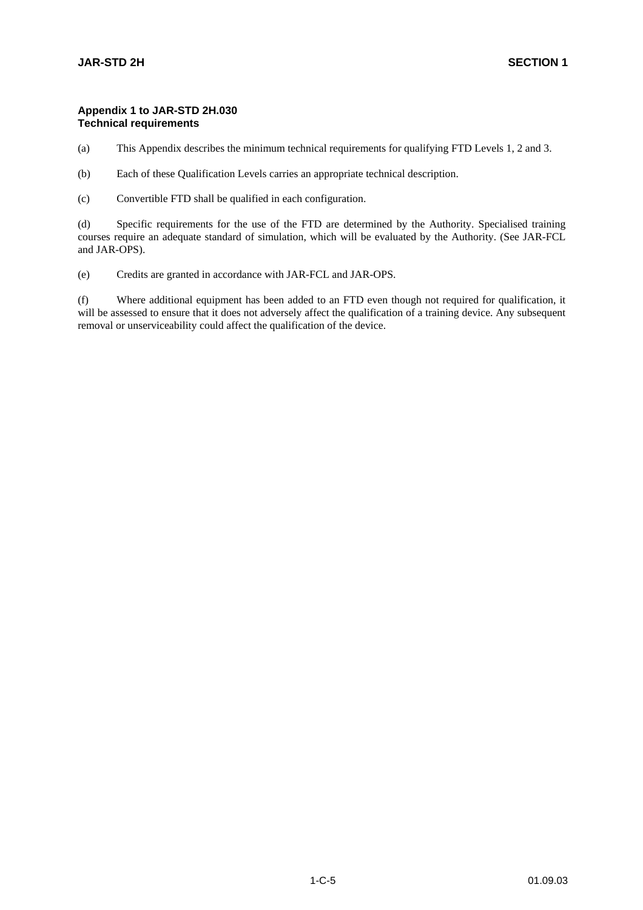### **Appendix 1 to JAR-STD 2H.030 Technical requirements**

- (a) This Appendix describes the minimum technical requirements for qualifying FTD Levels 1, 2 and 3.
- (b) Each of these Qualification Levels carries an appropriate technical description.
- (c) Convertible FTD shall be qualified in each configuration.

(d) Specific requirements for the use of the FTD are determined by the Authority. Specialised training courses require an adequate standard of simulation, which will be evaluated by the Authority. (See JAR-FCL and JAR-OPS).

(e) Credits are granted in accordance with JAR-FCL and JAR-OPS.

(f) Where additional equipment has been added to an FTD even though not required for qualification, it will be assessed to ensure that it does not adversely affect the qualification of a training device. Any subsequent removal or unserviceability could affect the qualification of the device.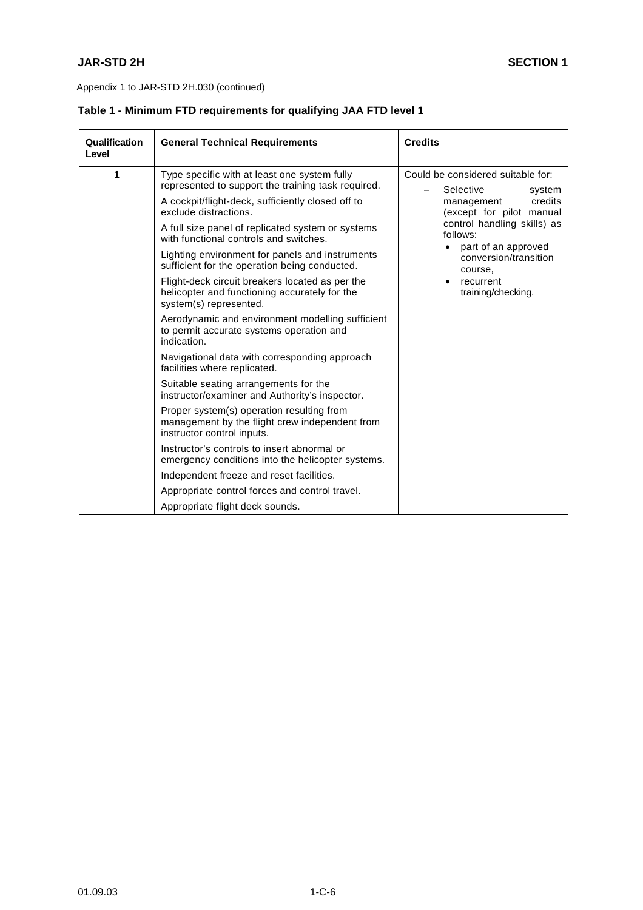Appendix 1 to JAR-STD 2H.030 (continued)

| Table 1 - Minimum FTD requirements for qualifying JAA FTD level 1 |  |
|-------------------------------------------------------------------|--|
|-------------------------------------------------------------------|--|

| Qualification<br>Level | <b>General Technical Requirements</b>                                                                                                                                                                                                                                                                                                                                                                                                                                                                                                                                                                                                                                                                                                                                                                                                                                                                                                                                                                                                                                                                                                                                          | <b>Credits</b>                                                                                                                                                                                                                                              |
|------------------------|--------------------------------------------------------------------------------------------------------------------------------------------------------------------------------------------------------------------------------------------------------------------------------------------------------------------------------------------------------------------------------------------------------------------------------------------------------------------------------------------------------------------------------------------------------------------------------------------------------------------------------------------------------------------------------------------------------------------------------------------------------------------------------------------------------------------------------------------------------------------------------------------------------------------------------------------------------------------------------------------------------------------------------------------------------------------------------------------------------------------------------------------------------------------------------|-------------------------------------------------------------------------------------------------------------------------------------------------------------------------------------------------------------------------------------------------------------|
| 1                      | Type specific with at least one system fully<br>represented to support the training task required.<br>A cockpit/flight-deck, sufficiently closed off to<br>exclude distractions.<br>A full size panel of replicated system or systems<br>with functional controls and switches.<br>Lighting environment for panels and instruments<br>sufficient for the operation being conducted.<br>Flight-deck circuit breakers located as per the<br>helicopter and functioning accurately for the<br>system(s) represented.<br>Aerodynamic and environment modelling sufficient<br>to permit accurate systems operation and<br>indication.<br>Navigational data with corresponding approach<br>facilities where replicated.<br>Suitable seating arrangements for the<br>instructor/examiner and Authority's inspector.<br>Proper system(s) operation resulting from<br>management by the flight crew independent from<br>instructor control inputs.<br>Instructor's controls to insert abnormal or<br>emergency conditions into the helicopter systems.<br>Independent freeze and reset facilities.<br>Appropriate control forces and control travel.<br>Appropriate flight deck sounds. | Could be considered suitable for:<br>Selective<br>system<br>credits<br>management<br>(except for pilot manual<br>control handling skills) as<br>follows:<br>part of an approved<br>conversion/transition<br>course,<br>recurrent<br>٠<br>training/checking. |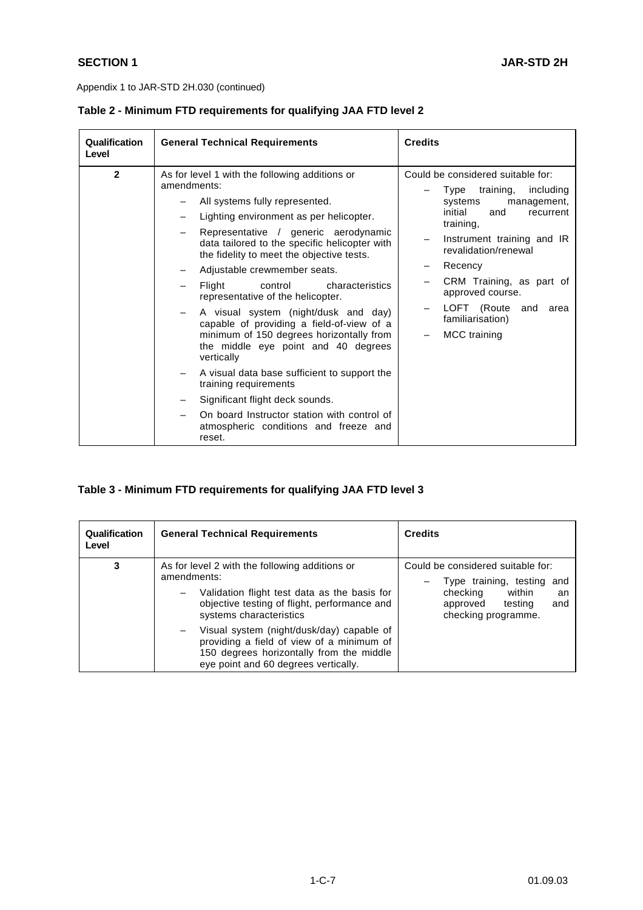Appendix 1 to JAR-STD 2H.030 (continued)

| Table 2 - Minimum FTD requirements for qualifying JAA FTD level 2 |  |  |  |
|-------------------------------------------------------------------|--|--|--|
|-------------------------------------------------------------------|--|--|--|

| Qualification<br>Level | <b>General Technical Requirements</b>                                                                                                                                                                                                                                                                                                                                                                                                                                                                                                                                                                                                                                                                                                                                                   | <b>Credits</b>                                                                                                                                                                                                                                                                                                      |
|------------------------|-----------------------------------------------------------------------------------------------------------------------------------------------------------------------------------------------------------------------------------------------------------------------------------------------------------------------------------------------------------------------------------------------------------------------------------------------------------------------------------------------------------------------------------------------------------------------------------------------------------------------------------------------------------------------------------------------------------------------------------------------------------------------------------------|---------------------------------------------------------------------------------------------------------------------------------------------------------------------------------------------------------------------------------------------------------------------------------------------------------------------|
| $\mathbf{2}$           | As for level 1 with the following additions or<br>amendments:<br>All systems fully represented.<br>Lighting environment as per helicopter.<br>Representative / generic aerodynamic<br>data tailored to the specific helicopter with<br>the fidelity to meet the objective tests.<br>Adjustable crewmember seats.<br>Flight<br>control<br>characteristics<br>representative of the helicopter.<br>A visual system (night/dusk and day)<br>capable of providing a field-of-view of a<br>minimum of 150 degrees horizontally from<br>the middle eye point and 40 degrees<br>vertically<br>A visual data base sufficient to support the<br>training requirements<br>Significant flight deck sounds.<br>On board Instructor station with control of<br>atmospheric conditions and freeze and | Could be considered suitable for:<br>Type training, including<br>systems<br>management,<br>initial<br>and<br>recurrent<br>training,<br>Instrument training and IR<br>revalidation/renewal<br>Recency<br>CRM Training, as part of<br>approved course.<br>LOFT (Route and<br>area<br>familiarisation)<br>MCC training |

## **Table 3 - Minimum FTD requirements for qualifying JAA FTD level 3**

| Qualification<br>Level | <b>General Technical Requirements</b>                                                                                                                                                    | <b>Credits</b>                                                                                                                                   |
|------------------------|------------------------------------------------------------------------------------------------------------------------------------------------------------------------------------------|--------------------------------------------------------------------------------------------------------------------------------------------------|
| 3                      | As for level 2 with the following additions or<br>amendments:<br>Validation flight test data as the basis for<br>objective testing of flight, performance and<br>systems characteristics | Could be considered suitable for:<br>Type training, testing and<br>within<br>checking<br>an<br>testing<br>approved<br>and<br>checking programme. |
|                        | Visual system (night/dusk/day) capable of<br>providing a field of view of a minimum of<br>150 degrees horizontally from the middle<br>eye point and 60 degrees vertically.               |                                                                                                                                                  |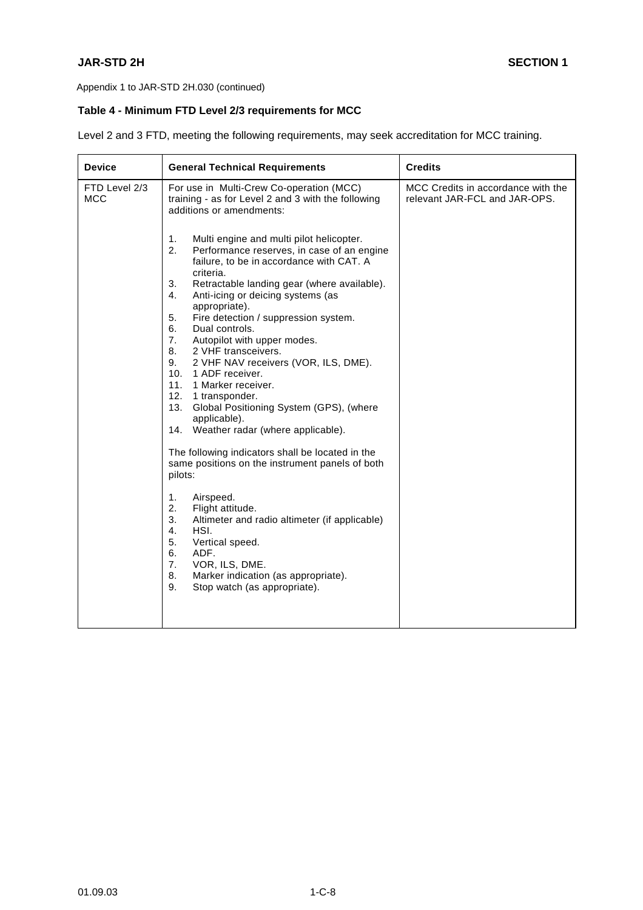Appendix 1 to JAR-STD 2H.030 (continued)

## **Table 4 - Minimum FTD Level 2/3 requirements for MCC**

Level 2 and 3 FTD, meeting the following requirements, may seek accreditation for MCC training.

| <b>Device</b>               | <b>General Technical Requirements</b>                                                                                                                                                                                                                                                                                                                                                                                                                                                                                                                                                                                                                                                                                                                                                                                                                                                                                                                                                                                                                                                                                                                                 | <b>Credits</b>                                                      |
|-----------------------------|-----------------------------------------------------------------------------------------------------------------------------------------------------------------------------------------------------------------------------------------------------------------------------------------------------------------------------------------------------------------------------------------------------------------------------------------------------------------------------------------------------------------------------------------------------------------------------------------------------------------------------------------------------------------------------------------------------------------------------------------------------------------------------------------------------------------------------------------------------------------------------------------------------------------------------------------------------------------------------------------------------------------------------------------------------------------------------------------------------------------------------------------------------------------------|---------------------------------------------------------------------|
| FTD Level 2/3<br><b>MCC</b> | For use in Multi-Crew Co-operation (MCC)<br>training - as for Level 2 and 3 with the following<br>additions or amendments:<br>1.<br>Multi engine and multi pilot helicopter.<br>2.<br>Performance reserves, in case of an engine<br>failure, to be in accordance with CAT. A<br>criteria.<br>3.<br>Retractable landing gear (where available).<br>4.<br>Anti-icing or deicing systems (as<br>appropriate).<br>5.<br>Fire detection / suppression system.<br>6.<br>Dual controls.<br>7.<br>Autopilot with upper modes.<br>8.<br>2 VHF transceivers.<br>2 VHF NAV receivers (VOR, ILS, DME).<br>9.<br>10. 1 ADF receiver.<br>11. 1 Marker receiver.<br>12. 1 transponder.<br>13. Global Positioning System (GPS), (where<br>applicable).<br>14. Weather radar (where applicable).<br>The following indicators shall be located in the<br>same positions on the instrument panels of both<br>pilots:<br>1.<br>Airspeed.<br>2.<br>Flight attitude.<br>3.<br>Altimeter and radio altimeter (if applicable)<br>4.<br>HSI.<br>Vertical speed.<br>5.<br>ADF.<br>6.<br>7.<br>VOR, ILS, DME.<br>8.<br>Marker indication (as appropriate).<br>9.<br>Stop watch (as appropriate). | MCC Credits in accordance with the<br>relevant JAR-FCL and JAR-OPS. |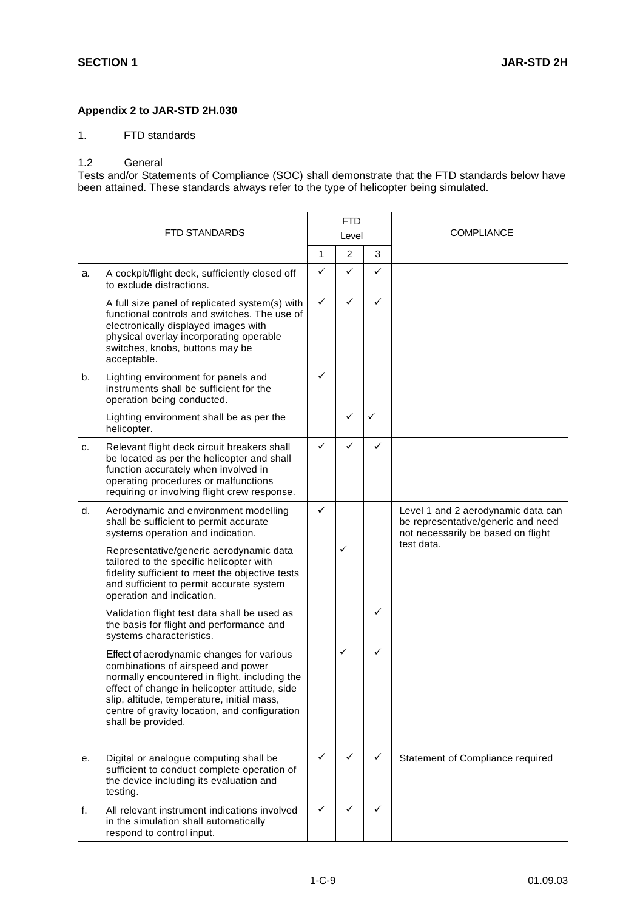## **Appendix 2 to JAR-STD 2H.030**

## 1. FTD standards

## 1.2 General

Tests and/or Statements of Compliance (SOC) shall demonstrate that the FTD standards below have been attained. These standards always refer to the type of helicopter being simulated.

|    | FTD STANDARDS                                                                                                                                                                                                                                                                                          |              | <b>FTD</b><br>Level |              | COMPLIANCE                                                                                                     |
|----|--------------------------------------------------------------------------------------------------------------------------------------------------------------------------------------------------------------------------------------------------------------------------------------------------------|--------------|---------------------|--------------|----------------------------------------------------------------------------------------------------------------|
|    |                                                                                                                                                                                                                                                                                                        | 1            | $\overline{2}$      | 3            |                                                                                                                |
| a. | A cockpit/flight deck, sufficiently closed off<br>to exclude distractions.                                                                                                                                                                                                                             | ✓            | ✓                   | ✓            |                                                                                                                |
|    | A full size panel of replicated system(s) with<br>functional controls and switches. The use of<br>electronically displayed images with<br>physical overlay incorporating operable<br>switches, knobs, buttons may be<br>acceptable.                                                                    | ✓            | ✓                   | ✓            |                                                                                                                |
| b. | Lighting environment for panels and<br>instruments shall be sufficient for the<br>operation being conducted.                                                                                                                                                                                           | ✓            |                     |              |                                                                                                                |
|    | Lighting environment shall be as per the<br>helicopter.                                                                                                                                                                                                                                                |              | ✓                   | ✓            |                                                                                                                |
| c. | Relevant flight deck circuit breakers shall<br>be located as per the helicopter and shall<br>function accurately when involved in<br>operating procedures or malfunctions<br>requiring or involving flight crew response.                                                                              | ✓            | ✓                   | ✓            |                                                                                                                |
| d. | Aerodynamic and environment modelling<br>shall be sufficient to permit accurate<br>systems operation and indication.                                                                                                                                                                                   | ✓            |                     |              | Level 1 and 2 aerodynamic data can<br>be representative/generic and need<br>not necessarily be based on flight |
|    | Representative/generic aerodynamic data<br>tailored to the specific helicopter with<br>fidelity sufficient to meet the objective tests<br>and sufficient to permit accurate system<br>operation and indication.                                                                                        |              | ✓                   |              | test data.                                                                                                     |
|    | Validation flight test data shall be used as<br>the basis for flight and performance and<br>systems characteristics.                                                                                                                                                                                   |              |                     | ✓            |                                                                                                                |
|    | Effect of aerodynamic changes for various<br>combinations of airspeed and power<br>normally encountered in flight, including the<br>effect of change in helicopter attitude, side<br>slip, altitude, temperature, initial mass,<br>centre of gravity location, and configuration<br>shall be provided. |              | ✓                   | ✓            |                                                                                                                |
| е. | Digital or analogue computing shall be<br>sufficient to conduct complete operation of<br>the device including its evaluation and<br>testing.                                                                                                                                                           | ✓            | ✓                   | $\checkmark$ | Statement of Compliance required                                                                               |
| f. | All relevant instrument indications involved<br>in the simulation shall automatically<br>respond to control input.                                                                                                                                                                                     | $\checkmark$ | ✓                   | $\checkmark$ |                                                                                                                |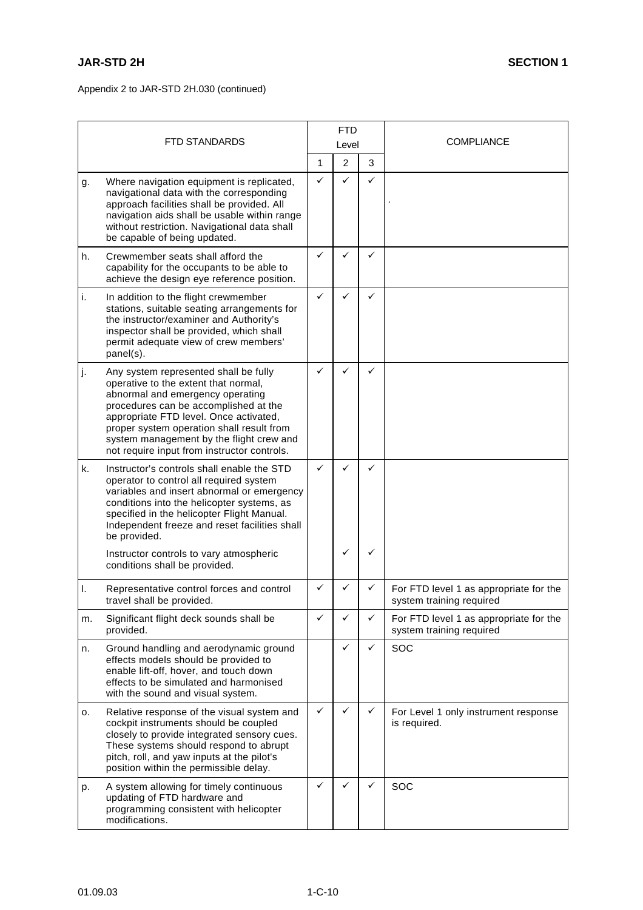## **JAR-STD 2H SECTION 1**

### Appendix 2 to JAR-STD 2H.030 (continued)

|    | <b>FTD STANDARDS</b>                                                                                                                                                                                                                                                                                                                         |   | <b>FTD</b><br>Level |              | <b>COMPLIANCE</b>                                                  |
|----|----------------------------------------------------------------------------------------------------------------------------------------------------------------------------------------------------------------------------------------------------------------------------------------------------------------------------------------------|---|---------------------|--------------|--------------------------------------------------------------------|
|    |                                                                                                                                                                                                                                                                                                                                              | 1 | $\overline{c}$      | 3            |                                                                    |
| g. | Where navigation equipment is replicated,<br>navigational data with the corresponding<br>approach facilities shall be provided. All<br>navigation aids shall be usable within range<br>without restriction. Navigational data shall<br>be capable of being updated.                                                                          | ✓ | ✓                   | ✓            |                                                                    |
| h. | Crewmember seats shall afford the<br>capability for the occupants to be able to<br>achieve the design eye reference position.                                                                                                                                                                                                                | ✓ | ✓                   | ✓            |                                                                    |
| i. | In addition to the flight crewmember<br>stations, suitable seating arrangements for<br>the instructor/examiner and Authority's<br>inspector shall be provided, which shall<br>permit adequate view of crew members'<br>panel(s).                                                                                                             | ✓ | ✓                   | ✓            |                                                                    |
| j. | Any system represented shall be fully<br>operative to the extent that normal,<br>abnormal and emergency operating<br>procedures can be accomplished at the<br>appropriate FTD level. Once activated,<br>proper system operation shall result from<br>system management by the flight crew and<br>not require input from instructor controls. | ✓ | ✓                   | $\checkmark$ |                                                                    |
| k. | Instructor's controls shall enable the STD<br>operator to control all required system<br>variables and insert abnormal or emergency<br>conditions into the helicopter systems, as<br>specified in the helicopter Flight Manual.<br>Independent freeze and reset facilities shall<br>be provided.                                             | ✓ | ✓                   | ✓            |                                                                    |
|    | Instructor controls to vary atmospheric<br>conditions shall be provided.                                                                                                                                                                                                                                                                     |   | ✓                   | ✓            |                                                                    |
| I. | Representative control forces and control<br>travel shall be provided.                                                                                                                                                                                                                                                                       | ✓ | ✓                   | ✓            | For FTD level 1 as appropriate for the<br>system training required |
| m. | Significant flight deck sounds shall be<br>provided.                                                                                                                                                                                                                                                                                         |   |                     | ✓            | For FTD level 1 as appropriate for the<br>system training required |
| n. | Ground handling and aerodynamic ground<br>effects models should be provided to<br>enable lift-off, hover, and touch down<br>effects to be simulated and harmonised<br>with the sound and visual system.                                                                                                                                      |   | ✓                   | ✓            | SOC                                                                |
| о. | Relative response of the visual system and<br>cockpit instruments should be coupled<br>closely to provide integrated sensory cues.<br>These systems should respond to abrupt<br>pitch, roll, and yaw inputs at the pilot's<br>position within the permissible delay.                                                                         | ✓ | ✓                   | ✓            | For Level 1 only instrument response<br>is required.               |
| p. | A system allowing for timely continuous<br>updating of FTD hardware and<br>programming consistent with helicopter<br>modifications.                                                                                                                                                                                                          | ✓ | ✓                   | ✓            | SOC                                                                |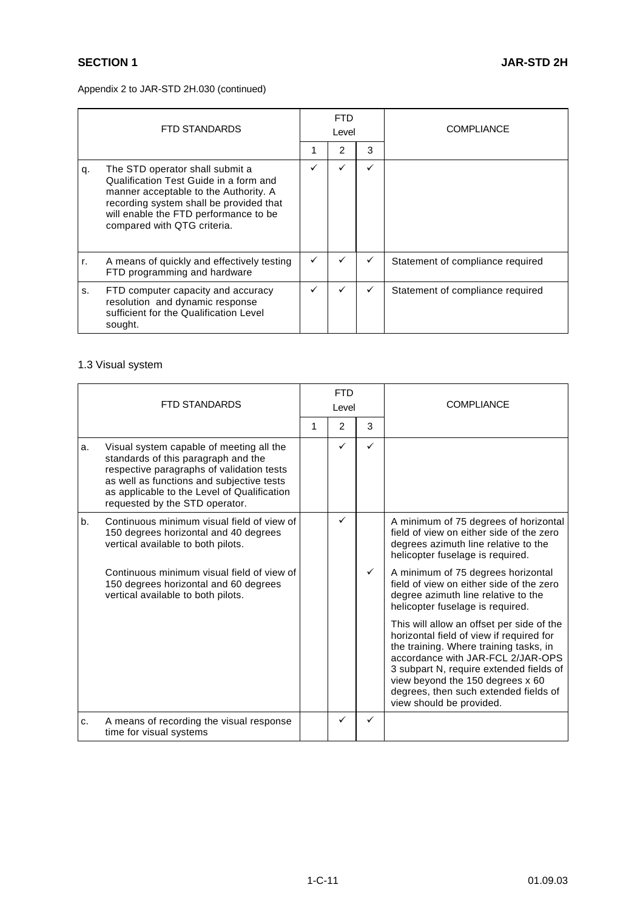Appendix 2 to JAR-STD 2H.030 (continued)

|    | FTD STANDARDS                                                                                                                                                                                                                         |   | FTD<br>Level |   | <b>COMPLIANCE</b>                |
|----|---------------------------------------------------------------------------------------------------------------------------------------------------------------------------------------------------------------------------------------|---|--------------|---|----------------------------------|
|    |                                                                                                                                                                                                                                       |   | 2            | 3 |                                  |
| q. | The STD operator shall submit a<br>Qualification Test Guide in a form and<br>manner acceptable to the Authority. A<br>recording system shall be provided that<br>will enable the FTD performance to be<br>compared with QTG criteria. | ✓ |              | ✓ |                                  |
| r. | A means of quickly and effectively testing<br>FTD programming and hardware                                                                                                                                                            | ✓ |              | ✓ | Statement of compliance required |
| s. | FTD computer capacity and accuracy<br>resolution and dynamic response<br>sufficient for the Qualification Level<br>sought.                                                                                                            | ✓ | ✓            | ✓ | Statement of compliance required |

## 1.3 Visual system

|                | <b>FTD STANDARDS</b>                                                                                                                                                                                                                                       |   | <b>FTD</b><br>Level |              |                                                                                                                                                                                                                                                                                                                          |  |  |  | <b>COMPLIANCE</b> |
|----------------|------------------------------------------------------------------------------------------------------------------------------------------------------------------------------------------------------------------------------------------------------------|---|---------------------|--------------|--------------------------------------------------------------------------------------------------------------------------------------------------------------------------------------------------------------------------------------------------------------------------------------------------------------------------|--|--|--|-------------------|
|                |                                                                                                                                                                                                                                                            | 1 | $\overline{2}$      | 3            |                                                                                                                                                                                                                                                                                                                          |  |  |  |                   |
| a.             | Visual system capable of meeting all the<br>standards of this paragraph and the<br>respective paragraphs of validation tests<br>as well as functions and subjective tests<br>as applicable to the Level of Qualification<br>requested by the STD operator. |   | ✓                   | ✓            |                                                                                                                                                                                                                                                                                                                          |  |  |  |                   |
| b <sub>1</sub> | Continuous minimum visual field of view of<br>150 degrees horizontal and 40 degrees<br>vertical available to both pilots.                                                                                                                                  |   | ✓                   |              | A minimum of 75 degrees of horizontal<br>field of view on either side of the zero<br>degrees azimuth line relative to the<br>helicopter fuselage is required.                                                                                                                                                            |  |  |  |                   |
|                | Continuous minimum visual field of view of<br>150 degrees horizontal and 60 degrees<br>vertical available to both pilots.                                                                                                                                  |   |                     | $\checkmark$ | A minimum of 75 degrees horizontal<br>field of view on either side of the zero<br>degree azimuth line relative to the<br>helicopter fuselage is required.                                                                                                                                                                |  |  |  |                   |
|                |                                                                                                                                                                                                                                                            |   |                     |              | This will allow an offset per side of the<br>horizontal field of view if required for<br>the training. Where training tasks, in<br>accordance with JAR-FCL 2/JAR-OPS<br>3 subpart N, require extended fields of<br>view beyond the 150 degrees x 60<br>degrees, then such extended fields of<br>view should be provided. |  |  |  |                   |
| C.             | A means of recording the visual response<br>time for visual systems                                                                                                                                                                                        |   | ✓                   | ✓            |                                                                                                                                                                                                                                                                                                                          |  |  |  |                   |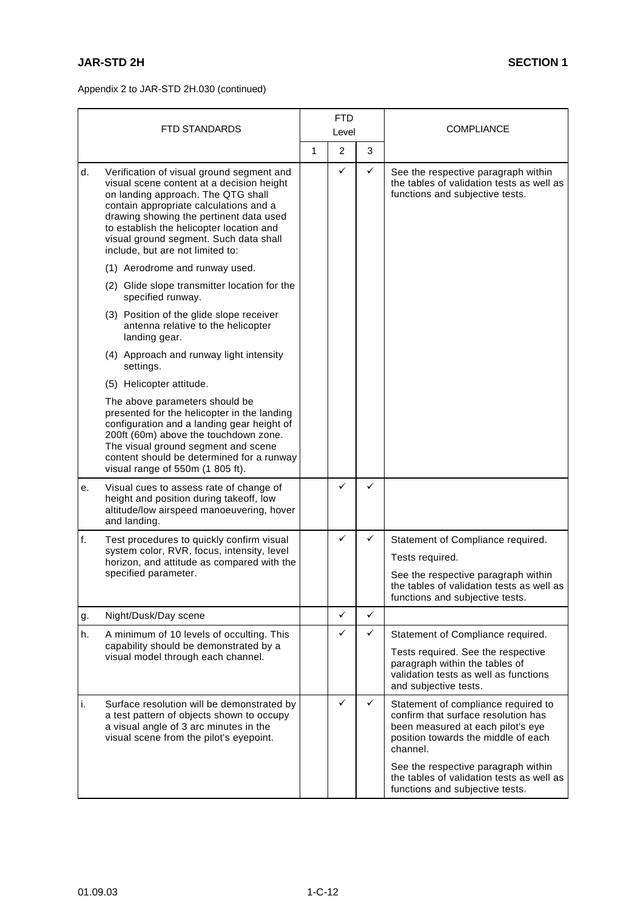## **JAR-STD 2H SECTION 1**

Appendix 2 to JAR-STD 2H.030 (continued)

|    | <b>FTD STANDARDS</b>                                                                                                                                                                                                                                                                                                                        |   | <b>FTD</b><br>Level |              | COMPLIANCE                                                                                                                                                                                                |
|----|---------------------------------------------------------------------------------------------------------------------------------------------------------------------------------------------------------------------------------------------------------------------------------------------------------------------------------------------|---|---------------------|--------------|-----------------------------------------------------------------------------------------------------------------------------------------------------------------------------------------------------------|
|    |                                                                                                                                                                                                                                                                                                                                             | 1 | $\overline{2}$      | 3            |                                                                                                                                                                                                           |
| d. | Verification of visual ground segment and<br>visual scene content at a decision height<br>on landing approach. The QTG shall<br>contain appropriate calculations and a<br>drawing showing the pertinent data used<br>to establish the helicopter location and<br>visual ground segment. Such data shall<br>include, but are not limited to: |   | $\checkmark$        | ✓            | See the respective paragraph within<br>the tables of validation tests as well as<br>functions and subjective tests.                                                                                       |
|    | (1) Aerodrome and runway used.                                                                                                                                                                                                                                                                                                              |   |                     |              |                                                                                                                                                                                                           |
|    | (2) Glide slope transmitter location for the<br>specified runway.                                                                                                                                                                                                                                                                           |   |                     |              |                                                                                                                                                                                                           |
|    | (3) Position of the glide slope receiver<br>antenna relative to the helicopter<br>landing gear.                                                                                                                                                                                                                                             |   |                     |              |                                                                                                                                                                                                           |
|    | (4) Approach and runway light intensity<br>settings.                                                                                                                                                                                                                                                                                        |   |                     |              |                                                                                                                                                                                                           |
|    | (5) Helicopter attitude.                                                                                                                                                                                                                                                                                                                    |   |                     |              |                                                                                                                                                                                                           |
|    | The above parameters should be<br>presented for the helicopter in the landing<br>configuration and a landing gear height of<br>200ft (60m) above the touchdown zone.<br>The visual ground segment and scene<br>content should be determined for a runway<br>visual range of 550m (1 805 ft).                                                |   |                     |              |                                                                                                                                                                                                           |
| е. | Visual cues to assess rate of change of<br>height and position during takeoff, low<br>altitude/low airspeed manoeuvering, hover<br>and landing.                                                                                                                                                                                             |   | ✓                   | ✓            |                                                                                                                                                                                                           |
| f. | Test procedures to quickly confirm visual                                                                                                                                                                                                                                                                                                   |   | ✓                   | ✓            | Statement of Compliance required.                                                                                                                                                                         |
|    | system color, RVR, focus, intensity, level<br>horizon, and attitude as compared with the                                                                                                                                                                                                                                                    |   |                     |              | Tests required.                                                                                                                                                                                           |
|    | specified parameter.                                                                                                                                                                                                                                                                                                                        |   |                     |              | See the respective paragraph within<br>the tables of validation tests as well as<br>functions and subjective tests.                                                                                       |
| g. | Night/Dusk/Day scene                                                                                                                                                                                                                                                                                                                        |   | $\checkmark$        | $\checkmark$ |                                                                                                                                                                                                           |
| h. | A minimum of 10 levels of occulting. This<br>capability should be demonstrated by a                                                                                                                                                                                                                                                         |   | ✓                   | ✓            | Statement of Compliance required.                                                                                                                                                                         |
|    | visual model through each channel.                                                                                                                                                                                                                                                                                                          |   |                     |              | Tests required. See the respective<br>paragraph within the tables of<br>validation tests as well as functions<br>and subjective tests.                                                                    |
| i. | Surface resolution will be demonstrated by<br>a test pattern of objects shown to occupy<br>a visual angle of 3 arc minutes in the<br>visual scene from the pilot's eyepoint.                                                                                                                                                                |   | ✓                   | ✓            | Statement of compliance required to<br>confirm that surface resolution has<br>been measured at each pilot's eye<br>position towards the middle of each<br>channel.<br>See the respective paragraph within |
|    |                                                                                                                                                                                                                                                                                                                                             |   |                     |              | the tables of validation tests as well as<br>functions and subjective tests.                                                                                                                              |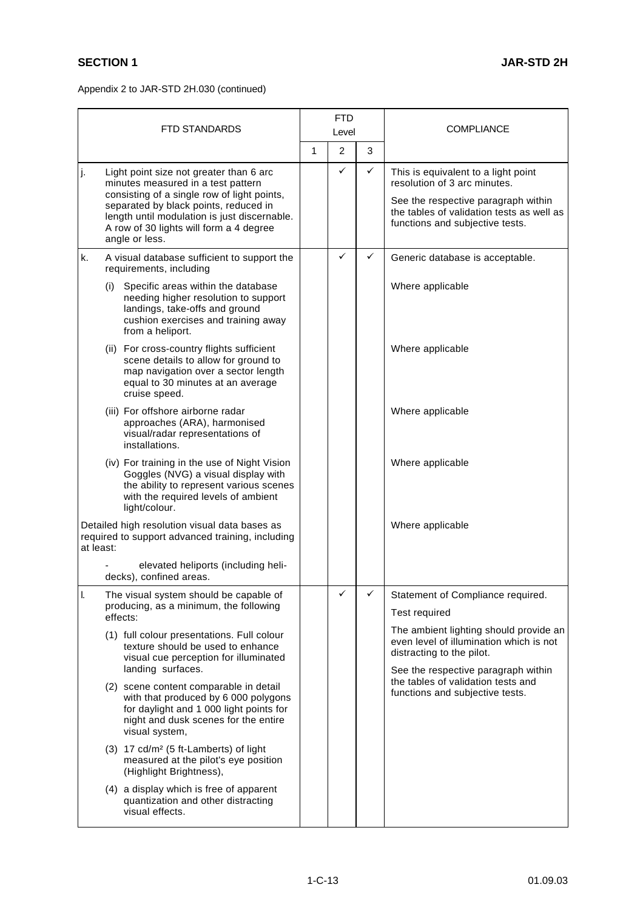Appendix 2 to JAR-STD 2H.030 (continued)

|           | <b>FTD STANDARDS</b>                                                                                                                                                                                                                                                               |              | <b>FTD</b><br>Level |              | <b>COMPLIANCE</b>                                                                                                                                                                          |
|-----------|------------------------------------------------------------------------------------------------------------------------------------------------------------------------------------------------------------------------------------------------------------------------------------|--------------|---------------------|--------------|--------------------------------------------------------------------------------------------------------------------------------------------------------------------------------------------|
|           |                                                                                                                                                                                                                                                                                    | $\mathbf{1}$ | $\overline{c}$      | 3            |                                                                                                                                                                                            |
| j.        | Light point size not greater than 6 arc<br>minutes measured in a test pattern<br>consisting of a single row of light points,<br>separated by black points, reduced in<br>length until modulation is just discernable.<br>A row of 30 lights will form a 4 degree<br>angle or less. |              | $\checkmark$        | $\checkmark$ | This is equivalent to a light point<br>resolution of 3 arc minutes.<br>See the respective paragraph within<br>the tables of validation tests as well as<br>functions and subjective tests. |
| k.        | A visual database sufficient to support the<br>requirements, including                                                                                                                                                                                                             |              | $\checkmark$        | $\checkmark$ | Generic database is acceptable.                                                                                                                                                            |
|           | Specific areas within the database<br>(i)<br>needing higher resolution to support<br>landings, take-offs and ground<br>cushion exercises and training away<br>from a heliport.                                                                                                     |              |                     |              | Where applicable                                                                                                                                                                           |
|           | (ii) For cross-country flights sufficient<br>scene details to allow for ground to<br>map navigation over a sector length<br>equal to 30 minutes at an average<br>cruise speed.                                                                                                     |              |                     |              | Where applicable                                                                                                                                                                           |
|           | (iii) For offshore airborne radar<br>approaches (ARA), harmonised<br>visual/radar representations of<br>installations.                                                                                                                                                             |              |                     |              | Where applicable                                                                                                                                                                           |
|           | (iv) For training in the use of Night Vision<br>Goggles (NVG) a visual display with<br>the ability to represent various scenes<br>with the required levels of ambient<br>light/colour.                                                                                             |              |                     |              | Where applicable                                                                                                                                                                           |
| at least: | Detailed high resolution visual data bases as<br>required to support advanced training, including                                                                                                                                                                                  |              |                     |              | Where applicable                                                                                                                                                                           |
|           | elevated heliports (including heli-<br>decks), confined areas.                                                                                                                                                                                                                     |              |                     |              |                                                                                                                                                                                            |
| Ι.        | The visual system should be capable of<br>producing, as a minimum, the following<br>effects:                                                                                                                                                                                       |              |                     |              | Statement of Compliance required.<br>Test required                                                                                                                                         |
|           | (1) full colour presentations. Full colour<br>texture should be used to enhance<br>visual cue perception for illuminated<br>landing surfaces.                                                                                                                                      |              |                     |              | The ambient lighting should provide an<br>even level of illumination which is not<br>distracting to the pilot.                                                                             |
|           | (2) scene content comparable in detail<br>with that produced by 6 000 polygons<br>for daylight and 1 000 light points for<br>night and dusk scenes for the entire<br>visual system,                                                                                                |              |                     |              | See the respective paragraph within<br>the tables of validation tests and<br>functions and subjective tests.                                                                               |
|           | (3) 17 cd/m <sup>2</sup> (5 ft-Lamberts) of light<br>measured at the pilot's eye position<br>(Highlight Brightness),                                                                                                                                                               |              |                     |              |                                                                                                                                                                                            |
|           | (4) a display which is free of apparent<br>quantization and other distracting<br>visual effects.                                                                                                                                                                                   |              |                     |              |                                                                                                                                                                                            |